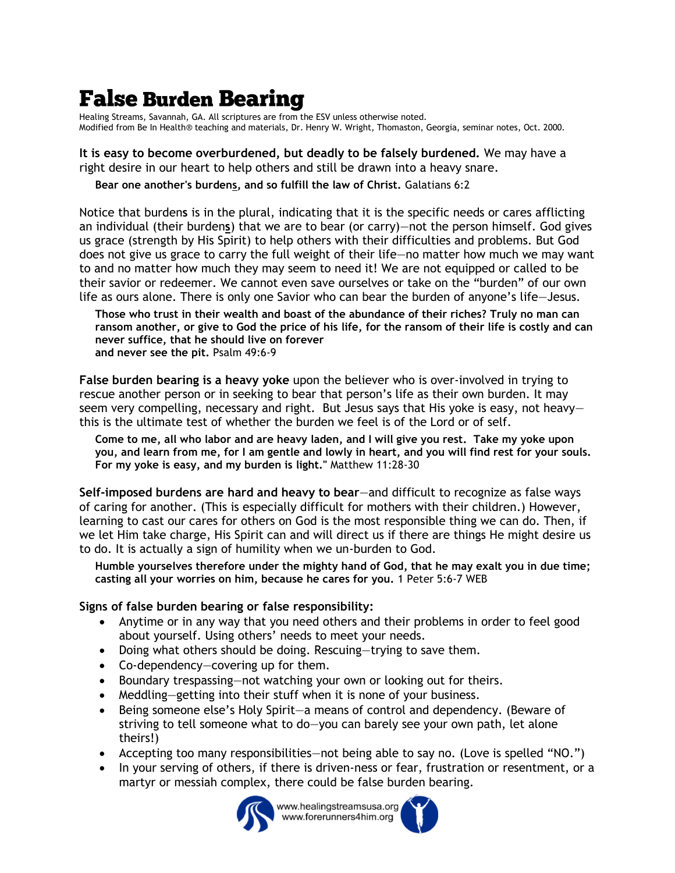## **False Burden Bearing**

Healing Streams, Savannah, GA. All scriptures are from the ESV unless otherwise noted. Modified from Be In Health® teaching and materials, Dr. Henry W. Wright, Thomaston, Georgia, seminar notes, Oct. 2000.

## **It is easy to become overburdened, but deadly to be falsely burdened.** We may have a right desire in our heart to help others and still be drawn into a heavy snare.

**Bear one another's burdens, and so fulfill the law of Christ.** Galatians 6:2

Notice that burden**s** is in the plural, indicating that it is the specific needs or cares afflicting an individual (their burden**s**) that we are to bear (or carry)—not the person himself. God gives us grace (strength by His Spirit) to help others with their difficulties and problems. But God does not give us grace to carry the full weight of their life—no matter how much we may want to and no matter how much they may seem to need it! We are not equipped or called to be their savior or redeemer. We cannot even save ourselves or take on the "burden" of our own life as ours alone. There is only one Savior who can bear the burden of anyone's life—Jesus.

**Those who trust in their wealth and boast of the abundance of their riches? Truly no man can ransom another, or give to God the price of his life, for the ransom of their life is costly and can never suffice, that he should live on forever and never see the pit.** Psalm 49:6-9

**False burden bearing is a heavy yoke** upon the believer who is over-involved in trying to rescue another person or in seeking to bear that person's life as their own burden. It may seem very compelling, necessary and right. But Jesus says that His yoke is easy, not heavythis is the ultimate test of whether the burden we feel is of the Lord or of self.

**Come to me, all who labor and are heavy laden, and I will give you rest. Take my yoke upon you, and learn from me, for I am gentle and lowly in heart, and you will find rest for your souls. For my yoke is easy, and my burden is light."** Matthew 11:28-30

**Self-imposed burdens are hard and heavy to bear**—and difficult to recognize as false ways of caring for another. (This is especially difficult for mothers with their children.) However, learning to cast our cares for others on God is the most responsible thing we can do. Then, if we let Him take charge, His Spirit can and will direct us if there are things He might desire us to do. It is actually a sign of humility when we un-burden to God.

**Humble yourselves therefore under the mighty hand of God, that he may exalt you in due time; casting all your worries on him, because he cares for you.** 1 Peter 5:6-7 WEB

## **Signs of false burden bearing or false responsibility:**

- Anytime or in any way that you need others and their problems in order to feel good about yourself. Using others' needs to meet your needs.
- Doing what others should be doing. Rescuing—trying to save them.
- Co-dependency—covering up for them.
- Boundary trespassing—not watching your own or looking out for theirs.
- Meddling—getting into their stuff when it is none of your business.
- Being someone else's Holy Spirit—a means of control and dependency. (Beware of striving to tell someone what to do—you can barely see your own path, let alone theirs!)
- Accepting too many responsibilities—not being able to say no. (Love is spelled "NO.")
- In your serving of others, if there is driven-ness or fear, frustration or resentment, or a martyr or messiah complex, there could be false burden bearing.